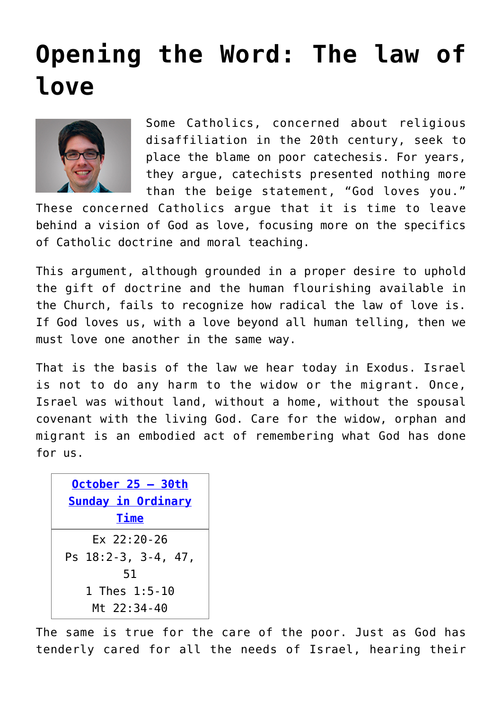## **[Opening the Word: The law of](https://www.osvnews.com/2020/10/19/opening-the-word-the-law-of-love/) [love](https://www.osvnews.com/2020/10/19/opening-the-word-the-law-of-love/)**



Some Catholics, concerned about religious disaffiliation in the 20th century, seek to place the blame on poor catechesis. For years, they argue, catechists presented nothing more than the beige statement, "God loves you."

These concerned Catholics argue that it is time to leave behind a vision of God as love, focusing more on the specifics of Catholic doctrine and moral teaching.

This argument, although grounded in a proper desire to uphold the gift of doctrine and the human flourishing available in the Church, fails to recognize how radical the law of love is. If God loves us, with a love beyond all human telling, then we must love one another in the same way.

That is the basis of the law we hear today in Exodus. Israel is not to do any harm to the widow or the migrant. Once, Israel was without land, without a home, without the spousal covenant with the living God. Care for the widow, orphan and migrant is an embodied act of remembering what God has done for us.

| October $25 - 30th$ |
|---------------------|
| Sunday in Ordinary  |
| <b>Time</b>         |
| $Fx$ 22:20-26       |
| Ps 18:2-3, 3-4, 47, |
| 51                  |
| 1 Thes 1:5-10       |
| Mt 22:34-40         |

The same is true for the care of the poor. Just as God has tenderly cared for all the needs of Israel, hearing their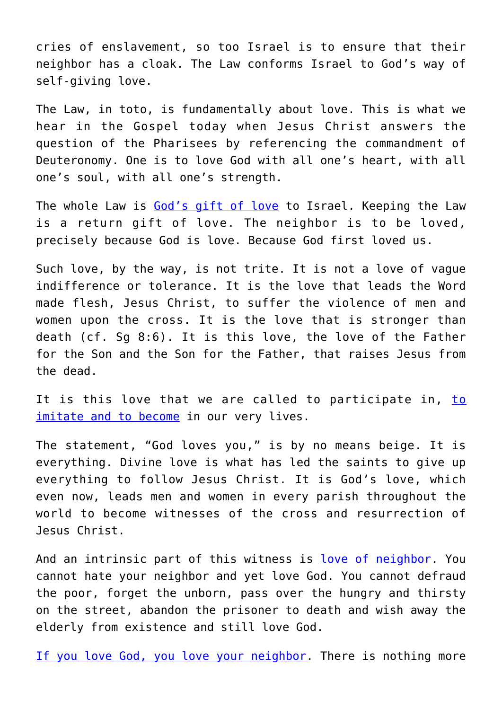cries of enslavement, so too Israel is to ensure that their neighbor has a cloak. The Law conforms Israel to God's way of self-giving love.

The Law, in toto, is fundamentally about love. This is what we hear in the Gospel today when Jesus Christ answers the question of the Pharisees by referencing the commandment of Deuteronomy. One is to love God with all one's heart, with all one's soul, with all one's strength.

The whole Law is [God's gift of love](https://www.osvnews.com/2019/10/28/the-god-who-loves-all/) to Israel. Keeping the Law is a return gift of love. The neighbor is to be loved, precisely because God is love. Because God first loved us.

Such love, by the way, is not trite. It is not a love of vague indifference or tolerance. It is the love that leads the Word made flesh, Jesus Christ, to suffer the violence of men and women upon the cross. It is the love that is stronger than death (cf. Sg 8:6). It is this love, the love of the Father for the Son and the Son for the Father, that raises Jesus from the dead.

It is this love that we are called [to](https://www.osvnews.com/2020/07/06/who-is-my-neighbor/) participate in, to [imitate and to become](https://www.osvnews.com/2020/07/06/who-is-my-neighbor/) in our very lives.

The statement, "God loves you," is by no means beige. It is everything. Divine love is what has led the saints to give up everything to follow Jesus Christ. It is God's love, which even now, leads men and women in every parish throughout the world to become witnesses of the cross and resurrection of Jesus Christ.

And an intrinsic part of this witness is [love of neighbor.](https://www.osvnews.com/2020/04/20/shouldnt-love-of-neighbor-supersede-everything-right-now/) You cannot hate your neighbor and yet love God. You cannot defraud the poor, forget the unborn, pass over the hungry and thirsty on the street, abandon the prisoner to death and wish away the elderly from existence and still love God.

[If you love God, you love your neighbor.](https://www.osvnews.com/2019/07/15/love-of-god-love-of-neighbor-are-tied-together-pope-says/) There is nothing more